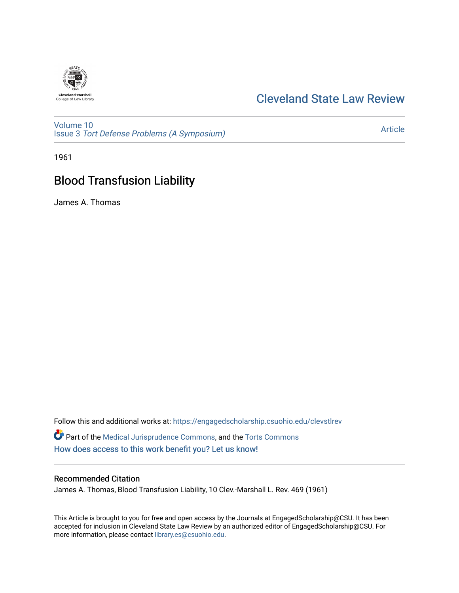

## [Cleveland State Law Review](https://engagedscholarship.csuohio.edu/clevstlrev)

[Volume 10](https://engagedscholarship.csuohio.edu/clevstlrev/vol10) Issue 3 [Tort Defense Problems \(A Symposium\)](https://engagedscholarship.csuohio.edu/clevstlrev/vol10/iss3)

[Article](https://engagedscholarship.csuohio.edu/clevstlrev/vol10/iss3/11) 

1961

# Blood Transfusion Liability

James A. Thomas

Follow this and additional works at: [https://engagedscholarship.csuohio.edu/clevstlrev](https://engagedscholarship.csuohio.edu/clevstlrev?utm_source=engagedscholarship.csuohio.edu%2Fclevstlrev%2Fvol10%2Fiss3%2F11&utm_medium=PDF&utm_campaign=PDFCoverPages) Part of the [Medical Jurisprudence Commons,](http://network.bepress.com/hgg/discipline/860?utm_source=engagedscholarship.csuohio.edu%2Fclevstlrev%2Fvol10%2Fiss3%2F11&utm_medium=PDF&utm_campaign=PDFCoverPages) and the [Torts Commons](http://network.bepress.com/hgg/discipline/913?utm_source=engagedscholarship.csuohio.edu%2Fclevstlrev%2Fvol10%2Fiss3%2F11&utm_medium=PDF&utm_campaign=PDFCoverPages)  [How does access to this work benefit you? Let us know!](http://library.csuohio.edu/engaged/)

### Recommended Citation

James A. Thomas, Blood Transfusion Liability, 10 Clev.-Marshall L. Rev. 469 (1961)

This Article is brought to you for free and open access by the Journals at EngagedScholarship@CSU. It has been accepted for inclusion in Cleveland State Law Review by an authorized editor of EngagedScholarship@CSU. For more information, please contact [library.es@csuohio.edu](mailto:library.es@csuohio.edu).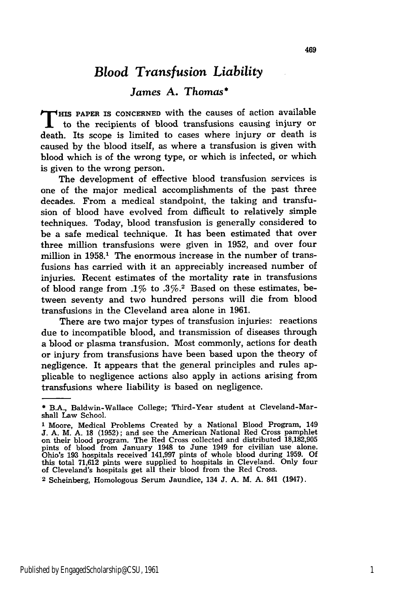## *Blood Transfusion Liability*

### *James* **A.** *Thomas\**

THIS PAPER IS CONCERNED with the causes of action available to the recipients of blood transfusions causing injury or death. Its scope is limited to cases where injury or death is caused **by** the blood itself, as where a transfusion is given with blood which is of the wrong type, or which is infected, or which is given to the wrong person.

The development of effective blood transfusion services is one of the major medical accomplishments of the past three decades. From a medical standpoint, the taking and transfusion of blood have evolved from difficult to relatively simple techniques. Today, blood transfusion is generally considered to be a safe medical technique. It has been estimated that over three million transfusions were given in 1952, and over four million in 1958.<sup>1</sup> The enormous increase in the number of transfusions has carried with it an appreciably increased number of injuries. Recent estimates of the mortality rate in transfusions of blood range from .1% to **.3%.2** Based on these estimates, between seventy and two hundred persons will die from blood transfusions in the Cleveland area alone in 1961.

There are two major types of transfusion injuries: reactions due to incompatible blood, and transmission of diseases through a blood or plasma transfusion. Most commonly, actions for death or injury from transfusions have been based upon the theory of negligence. It appears that the general principles and rules applicable to negligence actions also apply in actions arising from transfusions where liability is based on negligence.

<sup>\*</sup> B.A., Baldwin-Wallace College; Third-Year student at Cleveland-Marshall Law School.

**<sup>1</sup>** Moore, Medical Problems Created by a National Blood Program, 149 **J. A. M. A. 18 (1952); and see the American National Red Cross pamphle** on their blood program. The Red Cross collected and distributed 18,182,905<br>pints of blood from January 1948 to June 1949 for civilian use alone<br>Ohio's 193 hospitals received 141,997 pints of whole blood during 1959. Of this total 71,612 pints were supplied to hospitals in Cleveland. Only four of Cleveland's hospitals get all their blood from the Red Cross.

**<sup>2</sup>**Scheinberg, Homologous Serum Jaundice, 134 J. **A.** M. A. 841 (1947).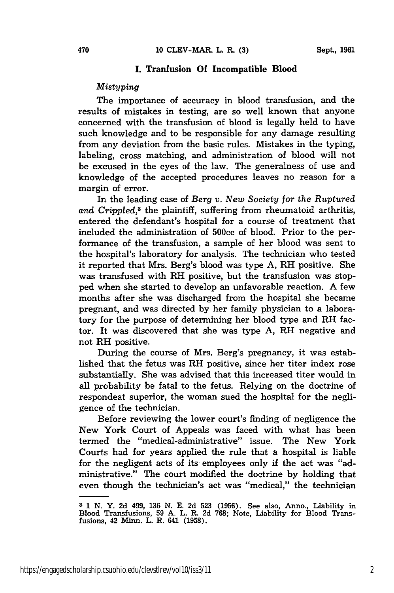#### **I. Tranfusion Of Incompatible Blood**

#### *Mistyping*

The importance of accuracy in blood transfusion, and the results of mistakes in testing, are so well known that anyone concerned with the transfusion of blood is legally held to have such knowledge and to be responsible for any damage resulting from any deviation from the basic rules. Mistakes in the typing, labeling, cross matching, and administration of blood will not be excused in the eyes of the law. The generalness of use and knowledge of the accepted procedures leaves no reason for a margin of error.

In the leading case of *Berg v. New Society for the Ruptured* and Crippled,<sup>3</sup> the plaintiff, suffering from rheumatoid arthritis, entered the defendant's hospital for a course of treatment that included the administration of 500cc of blood. Prior to the performance of the transfusion, a sample of her blood was sent to the hospital's laboratory for analysis. The technician who tested it reported that Mrs. Berg's blood was type **A,** RH positive. She was transfused with RH positive, but the transfusion was stopped when she started to develop an unfavorable reaction. A few months after she was discharged from the hospital she became pregnant, and was directed **by** her family physician to a laboratory for the purpose of determining her blood type and RH factor. It was discovered that she was type **A,** RH negative and not RH positive.

During the course of Mrs. Berg's pregnancy, it was established that the fetus was RH positive, since her titer index rose substantially. She was advised that this increased titer would in all probability be fatal to the fetus. Relying on the doctrine of respondeat superior, the woman sued the hospital for the negligence of the technician.

Before reviewing the lower court's finding of negligence the New York Court of Appeals was faced with what has been termed the "medical-administrative" issue. The New York Courts had for years applied the rule that a hospital is liable for the negligent acts of its employees only if the act was "administrative." The court modified the doctrine **by** holding that even though the technician's act was "medical," the technician

**<sup>3</sup>1 N.** Y. **2d** 499, **136 N. E. 2d 523 (1956).** See also, Anno., Liability in Blood Transfusions, **59 A.** L. R. **2d 768;** Note, Liability for Blood Trans-fusions, 42 Minn. L. R. 641 **(1958).**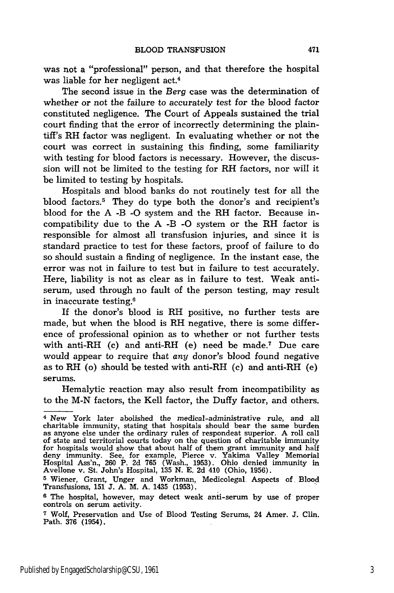was not a "professional" person, and that therefore the hospital was liable for her negligent act.<sup>4</sup>

The second issue in the *Berg* case was the determination of whether or not the failure to accurately test for the blood factor constituted negligence. The Court of Appeals sustained the trial court finding that the error of incorrectly determining the plaintiff's RH factor was negligent. In evaluating whether or not the court was correct in sustaining this finding, some familiarity with testing for blood factors is necessary. However, the discussion will not be limited to the testing for RH factors, nor will it be limited to testing by hospitals.

Hospitals and blood banks do not routinely test for all the blood factors.<sup>5</sup> They do type both the donor's and recipient's blood for the A -B -O system and the RH factor. Because incompatibility due to the A -B -O system or the RH factor is responsible for almost all transfusion injuries, and since it is standard practice to test for these factors, proof of failure to do so should sustain a finding of negligence. In the instant case, the error was not in failure to test but in failure to test accurately. Here, liability is not as clear as in failure to test. Weak antiserum, used through no fault of the person testing, may result in inaccurate testing.6

If the donor's blood is RH positive, no further tests are made, but when the blood is RH negative, there is some difference of professional opinion as to whether or not further tests with anti-RH (c) and anti-RH (e) need be made.7 Due care would appear to require that *any* donor's blood found negative as to RH (o) should be tested with anti-RH (c) and anti-RH (e) serums.

Hemalytic reaction may also result from incompatibility as to the M-N factors, the Kell factor, the Duffy factor, and others.

<sup>4</sup> New York later abolished the medical-administrative rule, and all charitable immunity, stating that hospitals should bear the same burden as anyone else under the ordinary rules of respondeat superior. A roll call of state and territorial courts today on the question of charitable immunity for hospitals would show that about half of them grant immunity and half deny immunity. See, for example, Pierce v. Yakima Valley Memorial Hospital Ass'n., 260 P. 2d 765 (Wash., 1953). Ohio denied immunity in Avellone v. St. John's Hospital, 135 N. E. 2d 410 (Ohio, 1956).

<sup>5</sup> Wiener, Grant, Unger and Workman, Medicolegal Aspects of Bloo,d Transfusions, 151 J. **A.** M. A. 1435 (1953).

**<sup>6</sup>** The hospital, however, may detect weak anti-serum by use of proper controls on serum activity.

**<sup>7</sup>** Wolf, Preservation and Use of Blood Testing Serums, 24 Amer. J. Clin. Path. 376 (1954).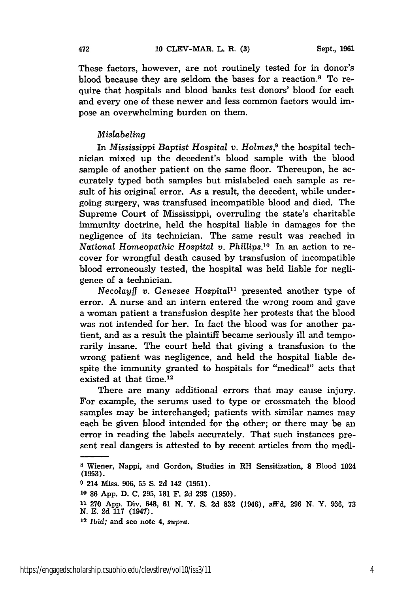These factors, however, are not routinely tested for in donor's blood because they are seldom the bases for a reaction.8 To require that hospitals and blood banks test donors' blood for each and every one of these newer and less common factors would impose an overwhelming burden on them.

#### *Mislabeling*

In *Mississippi Baptist Hospital v. Holmes,9* the hospital technician mixed up the decedent's blood sample with the blood sample of another patient on the same floor. Thereupon, he accurately typed both samples but mislabeled each sample as result of his original error. As a result, the decedent, while undergoing surgery, was transfused incompatible blood and died. The Supreme Court of Mississippi, overruling the state's charitable immunity doctrine, held the hospital liable in damages for the negligence of its technician. The same result was reached in *National Homeopathic Hospital v. Phillips.10* In an action to recover for wrongful death caused by transfusion of incompatible blood erroneously tested, the hospital was held liable for negligence of a technician.

*Necolayff v.* Genesee *Hospital"* presented another type of error. A nurse and an intern entered the wrong room and gave a woman patient a transfusion despite her protests that the blood was not intended for her. In fact the blood was for another patient, and as a result the plaintiff became seriously ill and temporarily insane. The court held that giving a transfusion to the wrong patient was negligence, and held the hospital liable despite the immunity granted to hospitals for "medical" acts that existed at that time.<sup>12</sup>

There are many additional errors that may cause injury. For example, the serums used to type or crossmatch the blood samples may be interchanged; patients with similar names may each be given blood intended for the other; or there may be an error in reading the labels accurately. That such instances present real dangers is attested to by recent articles from the medi-

**<sup>8</sup>**Wiener, Nappi, and Gordon, Studies in RH Sensitization, **8** Blood 1024 (1953).

**<sup>9</sup>** 214 Miss. **906,** 55 **S.** 2d 142 **(1951).**

**<sup>10 86</sup> App. D. C. 295, 181** F. **2d 293 (1950).**

**<sup>11 270</sup> App.** Div. 648, **61 N.** Y. **S. 2d 832** (1946), aff'd, **296 N.** Y. **936, 73 N. E. 2d 117** (1947).

<sup>12</sup>*Ibid;* and see note 4, *supra.*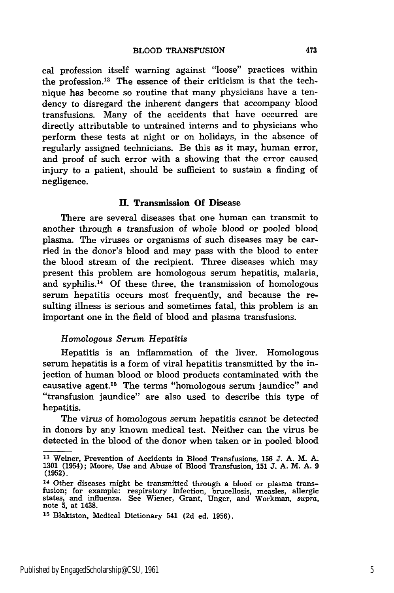cal profession itself warning against "loose" practices within the profession.<sup>13</sup> The essence of their criticism is that the technique has become so routine that many physicians have a tendency to disregard the inherent dangers that accompany blood transfusions. Many of the accidents that have occurred are directly attributable to untrained interns and to physicians who perform these tests at night or on holidays, in the absence of regularly assigned technicians. Be this as it may, human error, and proof of such error with a showing that the error caused injury to a patient, should be sufficient to sustain a finding of negligence.

#### **H.** Transmission **Of** Disease

There are several diseases that one human can transmit to another through a transfusion of whole blood or pooled blood plasma. The viruses or organisms of such diseases may be carried in the donor's blood and may pass with the blood to enter the blood stream of the recipient. Three diseases which may present this problem are homologous serum hepatitis, malaria, and syphilis.14 Of these three, the transmission of homologous serum hepatitis occurs most frequently, and because the resulting illness is serious and sometimes fatal, this problem is an important one in the field of blood and plasma transfusions.

#### *Homologous Serum Hepatitis*

Hepatitis is an inflammation of the liver. Homologous serum hepatitis is a form of viral hepatitis transmitted by the injection of human blood or blood products contaminated with the causative agent.15 The terms "homologous serum jaundice" and "transfusion jaundice" are also used to describe this type of hepatitis.

The virus of homologous serum hepatitis cannot be detected in donors by any known medical test. Neither can the virus be detected in the blood of the donor when taken or in pooled blood

**<sup>13</sup>**Weiner, Prevention of Accidents in Blood Transfusions, **156 J. A.** M. **A. 1301** (1954); Moore, Use and Abuse of Blood Transfusion, **151 J. A.** M. **A. 9 (1952).**

**<sup>14</sup>** Other diseases might be transmitted through a blood or plasma transfusion; for example: respiratory infection, brucellosis, measles, allergic states, and influenza. See Wiener, Grant, Unger, and Workman, supra, note **5,** at 1438.

**<sup>15</sup>**Blakiston, Medical Dictionary 541 **(2d** ed. **1956).**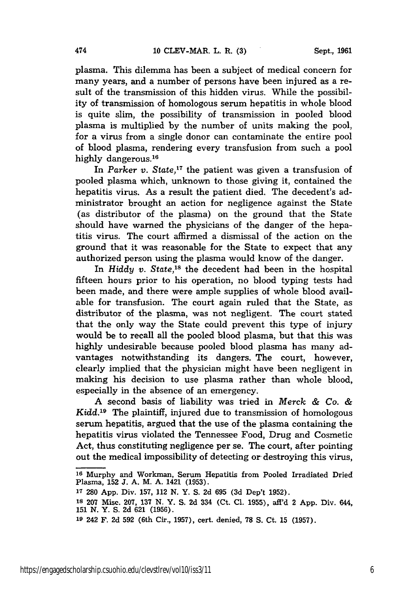plasma. This dilemma has been a subject of medical concern for many years, and a number of persons have been injured as a result of the transmission of this hidden virus. While the possibility of transmission of homologous serum hepatitis in whole blood is quite slim, the possibility of transmission in pooled blood plasma is multiplied by the number of units making the pool, for a virus from a single donor can contaminate the entire pool of blood plasma, rendering every transfusion from such a pool highly dangerous.<sup>16</sup>

In *Parker v.* State,<sup>17</sup> the patient was given a transfusion of pooled plasma which, unknown to those giving it, contained the hepatitis virus. As a result the patient died. The decedent's administrator brought an action for negligence against the State (as distributor of the plasma) on the ground that the State should have warned the physicians of the danger of the hepatitis virus. The court affirmed a dismissal of the action on the ground that it was reasonable for the State to expect that any authorized person using the plasma would know of the danger.

In *Hiddy v. State*,<sup>18</sup> the decedent had been in the hospital fifteen hours prior to his operation, no blood typing tests had been made, and there were ample supplies of whole blood available for transfusion. The court again ruled that the State, as distributor of the plasma, was not negligent. The court stated that the only way the State could prevent this type of injury would be to recall all the pooled blood plasma, but that this was highly undesirable because pooled blood plasma has many advantages notwithstanding its dangers. The court, however, clearly implied that the physician might have been negligent in making his decision to use plasma rather than whole blood, especially in the absence of an emergency.

A second basis of liability was tried in *Merck & Co. & Kidd.19* The plaintiff, injured due to transmission of homologous serum hepatitis, argued that the use of the plasma containing the hepatitis virus violated the Tennessee Food, Drug and Cosmetic Act, thus constituting negligence per se. The court, after pointing out the medical impossibility of detecting or destroying this virus,

**<sup>16</sup>** Murphy and Workman, Serum Hepatitis from Pooled Irradiated Dried Plasma, 152 **J.** A. M. A. 1421 (1953).

**<sup>17 280</sup>** App. Div. 157, 112 N. Y. **S.** 2d 695 (3d Dep't 1952).

**<sup>18 207</sup>** Misc. 207, **137 N.** Y. **S. 2d** 334 (Ct. **Cl. 1955),** aff'd 2 **App.** Div. 644, 151 **N.** Y. S. **2d** 621 (1956).

**<sup>19</sup>**242 F. 2d **592** (6th Cir., 1957), cert. denied, 78 S. Ct. 15 (1957).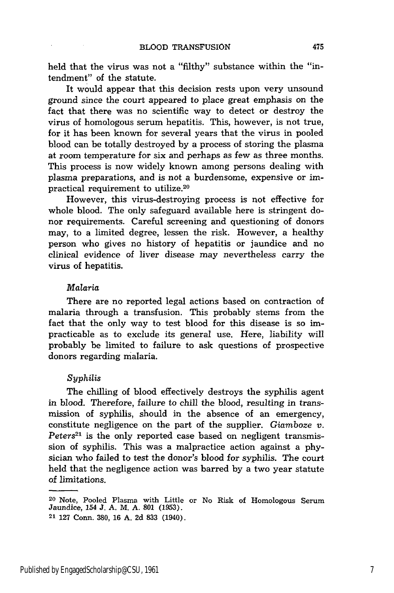held that the virus was not a "filthy" substance within the "intendment" of the statute.

It would appear that this decision rests upon very unsound ground since the court appeared to place great emphasis on the fact that there was no scientific way to detect or destroy the virus of homologous serum hepatitis. This, however, is not true, for it has been known for several years that the virus in pooled blood can be totally destroyed by a process of storing the plasma at room temperature for six and perhaps as few as three months. This process is now widely known among persons dealing with plasma preparations, and is not a burdensome, expensive or impractical requirement to utilize.<sup>20</sup>

However, this virus-destroying process is not effective for whole blood. The only safeguard available here is stringent donor requirements. Careful screening and questioning of donors may, to a limited degree, lessen the risk. However, a healthy person who gives no history of hepatitis or jaundice and no clinical evidence of liver disease may nevertheless carry the virus of hepatitis.

#### *Malaria*

There are no reported legal actions based on contraction of malaria through a transfusion. This probably stems from the fact that the only way to test blood for this disease is so impracticable as to exclude its general use. Here, liability will probably be limited to failure to ask questions of prospective donors regarding malaria.

#### *Syphilis*

The chilling of blood effectively destroys the syphilis agent in blood. Therefore, failure to chill the blood, resulting in transmission of syphilis, should in the absence of an emergency, constitute negligence on the part of the supplier. *Giamboze v. Peters2'* is the only reported case based on negligent transmission of syphilis. This was a malpractice action against a physician who failed to test the donor's blood for syphilis. The court held that the negligence action was barred by a two year statute of limitations.

475

<sup>20</sup> Note, Pooled Plasma with Little or No Risk of Homologous Serum Jaundice, 154 J. A. M. A. 801 (1953). 21 127 Conn. 380, 16 A. 2d 833 (1940).